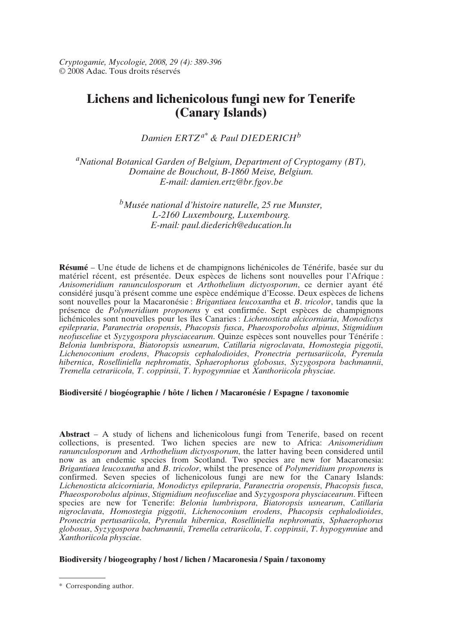*Cryptogamie, Mycologie, 2008, 29 (4): 389-396* © 2008 Adac. Tous droits réservés

# **Lichens and lichenicolous fungi new for Tenerife (Canary Islands)**

*Damien ERTZa\* & Paul DIEDERICH<sup>b</sup>*

*aNational Botanical Garden of Belgium, Department of Cryptogamy (BT), Domaine de Bouchout, B-1860 Meise, Belgium. E-mail: damien.ertz@br.fgov.be*

> *bMusée national d'histoire naturelle, 25 rue Munster, L-2160 Luxembourg, Luxembourg. E-mail: paul.diederich@education.lu*

**Résumé** – Une étude de lichens et de champignons lichénicoles de Ténérife, basée sur du matériel récent, est présentée. Deux espèces de lichens sont nouvelles pour l'Afrique : *Anisomeridium ranunculosporum* et *Arthothelium dictyosporum*, ce dernier ayant été considéré jusqu'à présent comme une espèce endémique d'Ecosse. Deux espèces de lichens sont nouvelles pour la Macaronésie : *Brigantiaea leucoxantha* et *B*. *tricolor*, tandis que la présence de *Polymeridium proponens* y est confirmée. Sept espèces de champignons lichénicoles sont nouvelles pour les îles Canaries : *Lichenosticta alcicorniaria*, *Monodictys epilepraria*, *Paranectria oropensis*, *Phacopsis fusca*, *Phaeosporobolus alpinus*, *Stigmidium neofusceliae* et *Syzygospora physciacearum*. Quinze espèces sont nouvelles pour Ténérife : *Belonia lumbrispora*, *Biatoropsis usnearum*, *Catillaria nigroclavata*, *Homostegia piggotii*, *Lichenoconium erodens*, *Phacopsis cephalodioides*, *Pronectria pertusariicola*, *Pyrenula hibernica*, *Roselliniella nephromatis*, *Sphaerophorus globosus*, *Syzygospora bachmannii*, *Tremella cetrariicola*, *T*. *coppinsii*, *T*. *hypogymniae* et *Xanthoriicola physciae*.

# **Biodiversité / biogéographie / hôte / lichen / Macaronésie / Espagne / taxonomie**

**Abstract** – A study of lichens and lichenicolous fungi from Tenerife, based on recent collections, is presented. Two lichen species are new to Africa: *Anisomeridium ranunculosporum* and *Arthothelium dictyosporum*, the latter having been considered until now as an endemic species from Scotland. Two species are new for Macaronesia: *Brigantiaea leucoxantha* and *B*. *tricolor*, whilst the presence of *Polymeridium proponens* is confirmed. Seven species of lichenicolous fungi are new for the Canary Islands: *Lichenosticta alcicorniaria*, *Monodictys epilepraria*, *Paranectria oropensis*, *Phacopsis fusca*, *Phaeosporobolus alpinus*, *Stigmidium neofusceliae* and *Syzygospora physciacearum*. Fifteen species are new for Tenerife: *Belonia lumbrispora*, *Biatoropsis usnearum*, *Catillaria nigroclavata*, *Homostegia piggotii*, *Lichenoconium erodens*, *Phacopsis cephalodioides*, *Pronectria pertusariicola*, *Pyrenula hibernica*, *Roselliniella nephromatis*, *Sphaerophorus globosus*, *Syzygospora bachmannii*, *Tremella cetrariicola*, *T*. *coppinsii*, *T*. *hypogymniae* and *Xanthoriicola physciae*.

# **Biodiversity / biogeography / host / lichen / Macaronesia / Spain / taxonomy**

<sup>\*</sup> Corresponding author.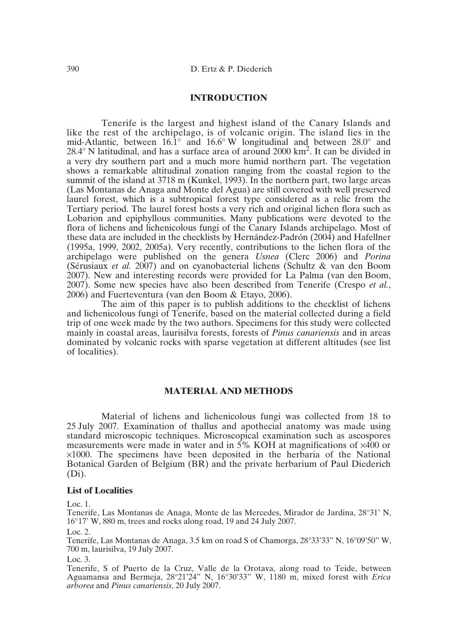# **INTRODUCTION**

Tenerife is the largest and highest island of the Canary Islands and like the rest of the archipelago, is of volcanic origin. The island lies in the mid-Atlantic, between 16.1° and 16.6° W longitudinal and between 28.0° and  $28.4^{\circ}$  N latitudinal, and has a surface area of around  $2000 \text{ km}^2$ . It can be divided in a very dry southern part and a much more humid northern part. The vegetation shows a remarkable altitudinal zonation ranging from the coastal region to the summit of the island at 3718 m (Kunkel, 1993). In the northern part, two large areas (Las Montanas de Anaga and Monte del Agua) are still covered with well preserved laurel forest, which is a subtropical forest type considered as a relic from the Tertiary period. The laurel forest hosts a very rich and original lichen flora such as Lobarion and epiphyllous communities. Many publications were devoted to the flora of lichens and lichenicolous fungi of the Canary Islands archipelago. Most of these data are included in the checklists by Hernández-Padrón (2004) and Hafellner (1995a, 1999, 2002, 2005a). Very recently, contributions to the lichen flora of the archipelago were published on the genera *Usnea* (Clerc 2006) and *Porina* (Sérusiaux *et al.* 2007) and on cyanobacterial lichens (Schultz & van den Boom 2007). New and interesting records were provided for La Palma (van den Boom, 2007). Some new species have also been described from Tenerife (Crespo *et al.*, 2006) and Fuerteventura (van den Boom & Etayo, 2006).

The aim of this paper is to publish additions to the checklist of lichens and lichenicolous fungi of Tenerife, based on the material collected during a field trip of one week made by the two authors. Specimens for this study were collected mainly in coastal areas, laurisilva forests, forests of *Pinus canariensis* and in areas dominated by volcanic rocks with sparse vegetation at different altitudes (see list of localities).

# **MATERIAL AND METHODS**

Material of lichens and lichenicolous fungi was collected from 18 to 25 July 2007. Examination of thallus and apothecial anatomy was made using standard microscopic techniques. Microscopical examination such as ascospores measurements were made in water and in  $\frac{5}{6}$  KOH at magnifications of  $\times 400$  or ×1000. The specimens have been deposited in the herbaria of the National Botanical Garden of Belgium (BR) and the private herbarium of Paul Diederich (Di).

#### **List of Localities**

Loc. 1.

Tenerife, Las Montanas de Anaga, Monte de las Mercedes, Mirador de Jardina, 28°31' N, 16°17' W, 880 m, trees and rocks along road, 19 and 24 July 2007.

Loc.  $2$ 

Tenerife, Las Montanas de Anaga, 3.5 km on road S of Chamorga, 28°33'33" N, 16°09'50" W, 700 m, laurisilva, 19 July 2007.

Loc. 3.

Tenerife, S of Puerto de la Cruz, Valle de la Orotava, along road to Teide, between Aguamansa and Bermeja, 28°21'24" N, 16°30'33" W, 1180 m, mixed forest with *Erica arborea* and *Pinus canariensis*, 20 July 2007.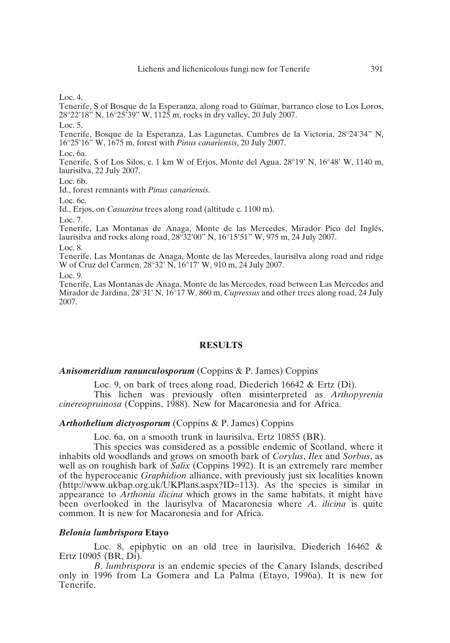Loc.  $4$ .

Tenerife, S of Bosque de la Esperanza, along road to Güímar, barranco close to Los Loros, 28°22'18" N, 16°25'39" W, 1125 m, rocks in dry valley, 20 July 2007.

Loc. 5.

Tenerife, Bosque de la Esperanza, Las Lagunetas, Cumbres de la Victoria, 28°24'34" N, 16°25'16" W, 1675 m, forest with *Pinus canariensis*, 20 July 2007.

Loc. 6a.

Tenerife, S of Los Silos, c. 1 km W of Erjos, Monte del Agua, 28°19' N, 16°48' W, 1140 m, laurisilva, 22 July 2007.

Loc. 6b.

Id., forest remnants with *Pinus canariensis*.

Loc. 6c.

Id., Erjos, on *Casuarina* trees along road (altitude c. 1100 m).

Loc. 7.

Tenerife, Las Montanas de Anaga, Monte de las Mercedes, Mirador Pico del Inglés, laurisilva and rocks along road, 28°32'00" N, 16°15'51" W, 975 m, 24 July 2007.

Loc. 8.

Tenerife, Las Montanas de Anaga, Monte de las Mercedes, laurisilva along road and ridge W of Cruz del Carmen, 28°32' N, 16°17' W, 910 m, 24 July 2007.

Loc. 9.

Tenerife, Las Montanas de Anaga, Monte de las Mercedes, road between Las Mercedes and Mirador de Jardina, 28°31' N, 16°17 W, 860 m, *Cupressus* and other trees along road, 24 July 2007.

# **RESULTS**

#### *Anisomeridium ranunculosporum* (Coppins & P. James) Coppins

Loc. 9, on bark of trees along road, Diederich 16642 & Ertz (Di). This lichen was previously often misinterpreted as *Arthopyrenia*

*cinereopruinosa* (Coppins, 1988). New for Macaronesia and for Africa.

#### *Arthothelium dictyosporum* (Coppins & P. James) Coppins

Loc. 6a, on a smooth trunk in laurisilva, Ertz 10855 (BR).

This species was considered as a possible endemic of Scotland, where it inhabits old woodlands and grows on smooth bark of *Corylus*, *Ilex* and *Sorbus*, as well as on roughish bark of *Salix* (Coppins 1992). It is an extremely rare member of the hyperoceanic *Graphidion* alliance, with previously just six localities known (http://www.ukbap.org.uk/UKPlans.aspx?ID=113). As the species is similar in appearance to *Arthonia ilicina* which grows in the same habitats, it might have been overlooked in the laurisylva of Macaronesia where *A*. *ilicina* is quite common. It is new for Macaronesia and for Africa.

#### *Belonia lumbrispora* **Etayo**

Loc. 8, epiphytic on an old tree in laurisilva, Diederich 16462 & Ertz 10905 (BR, Di).

*B*. *lumbrispora* is an endemic species of the Canary Islands, described only in 1996 from La Gomera and La Palma (Etayo, 1996a). It is new for Tenerife.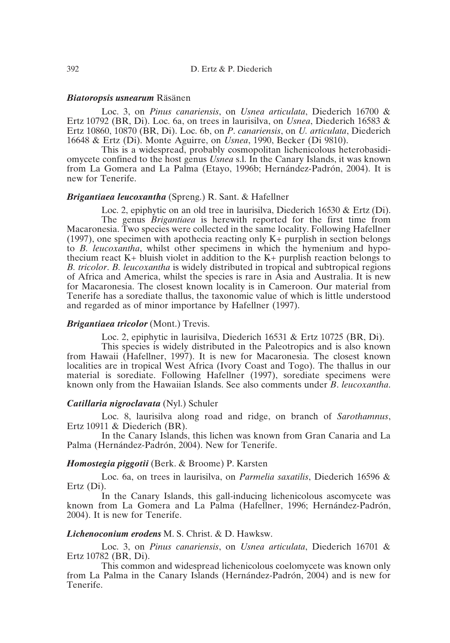#### *Biatoropsis usnearum* Räsänen

Loc. 3, on *Pinus canariensis*, on *Usnea articulata*, Diederich 16700 & Ertz 10792 (BR, Di). Loc. 6a, on trees in laurisilva, on *Usnea*, Diederich 16583 & Ertz 10860, 10870 (BR, Di). Loc. 6b, on *P*. *canariensis*, on *U. articulata*, Diederich 16648 & Ertz (Di). Monte Aguirre, on *Usnea*, 1990, Becker (Di 9810).

This is a widespread, probably cosmopolitan lichenicolous heterobasidiomycete confined to the host genus *Usnea* s.l. In the Canary Islands, it was known from La Gomera and La Palma (Etayo, 1996b; Hernández-Padrón, 2004). It is new for Tenerife.

#### *Brigantiaea leucoxantha* (Spreng.) R. Sant. & Hafellner

Loc. 2, epiphytic on an old tree in laurisilva, Diederich 16530 & Ertz (Di). The genus *Brigantiaea* is herewith reported for the first time from Macaronesia. Two species were collected in the same locality. Following Hafellner (1997), one specimen with apothecia reacting only K+ purplish in section belongs to *B. leucoxantha*, whilst other specimens in which the hymenium and hypothecium react  $K+$  bluish violet in addition to the  $K+$  purplish reaction belongs to *B. tricolor*. *B. leucoxantha* is widely distributed in tropical and subtropical regions of Africa and America, whilst the species is rare in Asia and Australia. It is new for Macaronesia. The closest known locality is in Cameroon. Our material from Tenerife has a sorediate thallus, the taxonomic value of which is little understood and regarded as of minor importance by Hafellner (1997).

#### *Brigantiaea tricolor* (Mont.) Trevis.

Loc. 2, epiphytic in laurisilva, Diederich 16531 & Ertz 10725 (BR, Di).

This species is widely distributed in the Paleotropics and is also known from Hawaii (Hafellner, 1997). It is new for Macaronesia. The closest known localities are in tropical West Africa (Ivory Coast and Togo). The thallus in our material is sorediate. Following Hafellner (1997), sorediate specimens were known only from the Hawaiian Islands. See also comments under *B*. *leucoxantha*.

# *Catillaria nigroclavata* (Nyl.) Schuler

Loc. 8, laurisilva along road and ridge, on branch of *Sarothamnus*, Ertz 10911 & Diederich (BR).

In the Canary Islands, this lichen was known from Gran Canaria and La Palma (Hernández-Padrón, 2004). New for Tenerife.

# *Homostegia piggotii* (Berk. & Broome) P. Karsten

Loc. 6a, on trees in laurisilva, on *Parmelia saxatilis*, Diederich 16596 & Ertz (Di).

In the Canary Islands, this gall-inducing lichenicolous ascomycete was known from La Gomera and La Palma (Hafellner, 1996; Hernández-Padrón, 2004). It is new for Tenerife.

#### *Lichenoconium erodens* M. S. Christ. & D. Hawksw.

Loc. 3, on *Pinus canariensis*, on *Usnea articulata*, Diederich 16701 & Ertz 10782 (BR, Di).

This common and widespread lichenicolous coelomycete was known only from La Palma in the Canary Islands (Hernández-Padrón, 2004) and is new for Tenerife.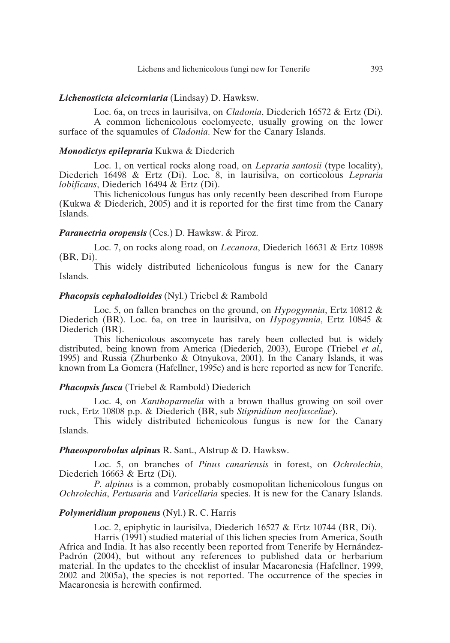# *Lichenosticta alcicorniaria* (Lindsay) D. Hawksw.

Loc. 6a, on trees in laurisilva, on *Cladonia*, Diederich 16572 & Ertz (Di). A common lichenicolous coelomycete, usually growing on the lower surface of the squamules of *Cladonia*. New for the Canary Islands.

# *Monodictys epilepraria* Kukwa & Diederich

Loc. 1, on vertical rocks along road, on *Lepraria santosii* (type locality), Diederich 16498 & Ertz (Di). Loc. 8, in laurisilva, on corticolous *Lepraria lobificans*, Diederich 16494 & Ertz (Di).

This lichenicolous fungus has only recently been described from Europe (Kukwa & Diederich, 2005) and it is reported for the first time from the Canary Islands.

# *Paranectria oropensis* (Ces.) D. Hawksw. & Piroz.

Loc. 7, on rocks along road, on *Lecanora*, Diederich 16631 & Ertz 10898 (BR, Di).

This widely distributed lichenicolous fungus is new for the Canary Islands.

#### *Phacopsis cephalodioides* (Nyl.) Triebel & Rambold

Loc. 5, on fallen branches on the ground, on *Hypogymnia*, Ertz 10812 & Diederich (BR). Loc. 6a, on tree in laurisilva, on *Hypogymnia*, Ertz 10845 & Diederich (BR).

This lichenicolous ascomycete has rarely been collected but is widely distributed, being known from America (Diederich, 2003), Europe (Triebel *et al.,* 1995) and Russia (Zhurbenko & Otnyukova, 2001). In the Canary Islands, it was known from La Gomera (Hafellner, 1995c) and is here reported as new for Tenerife.

#### *Phacopsis fusca* (Triebel & Rambold) Diederich

Loc. 4, on *Xanthoparmelia* with a brown thallus growing on soil over rock, Ertz 10808 p.p. & Diederich (BR, sub *Stigmidium neofusceliae*).

This widely distributed lichenicolous fungus is new for the Canary Islands.

# *Phaeosporobolus alpinus* R. Sant., Alstrup & D. Hawksw.

Loc. 5, on branches of *Pinus canariensis* in forest, on *Ochrolechia*, Diederich 16663 & Ertz (Di).

*P. alpinus* is a common, probably cosmopolitan lichenicolous fungus on *Ochrolechia*, *Pertusaria* and *Varicellaria* species. It is new for the Canary Islands.

# *Polymeridium proponens* (Nyl.) R. C. Harris

Loc. 2, epiphytic in laurisilva, Diederich 16527 & Ertz 10744 (BR, Di).

Harris (1991) studied material of this lichen species from America, South Africa and India. It has also recently been reported from Tenerife by Hernández-Padrón (2004), but without any references to published data or herbarium material. In the updates to the checklist of insular Macaronesia (Hafellner, 1999, 2002 and 2005a), the species is not reported. The occurrence of the species in Macaronesia is herewith confirmed.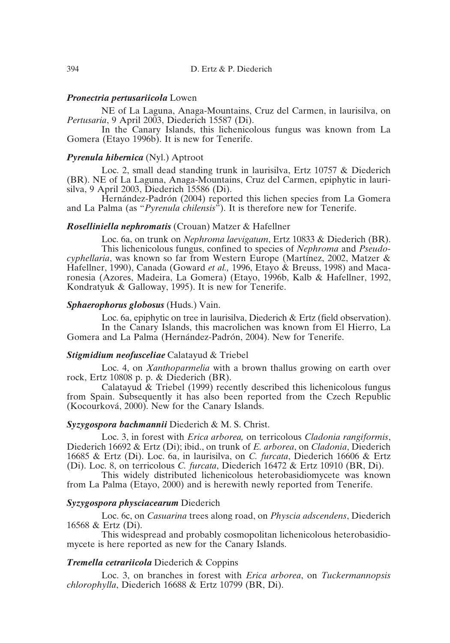#### *Pronectria pertusariicola* Lowen

NE of La Laguna, Anaga-Mountains, Cruz del Carmen, in laurisilva, on *Pertusaria*, 9 April 2003, Diederich 15587 (Di).

In the Canary Islands, this lichenicolous fungus was known from La Gomera (Etayo 1996b). It is new for Tenerife.

## *Pyrenula hibernica* (Nyl.) Aptroot

Loc. 2, small dead standing trunk in laurisilva, Ertz 10757 & Diederich (BR). NE of La Laguna, Anaga-Mountains, Cruz del Carmen, epiphytic in laurisilva, 9 April 2003, Diederich 15586 (Di).

Hernández-Padrón (2004) reported this lichen species from La Gomera and La Palma (as "*Pyrenula chilensis*"). It is therefore new for Tenerife.

# *Roselliniella nephromatis* (Crouan) Matzer & Hafellner

Loc. 6a, on trunk on *Nephroma laevigatum*, Ertz 10833 & Diederich (BR). This lichenicolous fungus, confined to species of *Nephroma* and *Pseudocyphellaria*, was known so far from Western Europe (Martínez, 2002, Matzer & Hafellner, 1990), Canada (Goward *et al.,* 1996, Etayo & Breuss, 1998) and Macaronesia (Azores, Madeira, La Gomera) (Etayo, 1996b, Kalb & Hafellner, 1992, Kondratyuk & Galloway, 1995). It is new for Tenerife.

#### *Sphaerophorus globosus* (Huds.) Vain.

Loc. 6a, epiphytic on tree in laurisilva, Diederich & Ertz (field observation). In the Canary Islands, this macrolichen was known from El Hierro, La Gomera and La Palma (Hernández-Padrón, 2004). New for Tenerife.

# *Stigmidium neofusceliae* Calatayud & Triebel

Loc. 4, on *Xanthoparmelia* with a brown thallus growing on earth over rock, Ertz 10808 p. p. & Diederich (BR).

Calatayud & Triebel (1999) recently described this lichenicolous fungus from Spain. Subsequently it has also been reported from the Czech Republic (Kocourková, 2000). New for the Canary Islands.

# *Syzygospora bachmannii* Diederich & M. S. Christ.

Loc. 3, in forest with *Erica arborea,* on terricolous *Cladonia rangiformis*, Diederich 16692 & Ertz (Di); ibid., on trunk of *E. arborea*, on *Cladonia*, Diederich 16685 & Ertz (Di). Loc. 6a, in laurisilva, on *C. furcata*, Diederich 16606 & Ertz (Di). Loc. 8, on terricolous *C. furcata*, Diederich 16472 & Ertz 10910 (BR, Di).

This widely distributed lichenicolous heterobasidiomycete was known from La Palma (Etayo, 2000) and is herewith newly reported from Tenerife.

# *Syzygospora physciacearum* Diederich

Loc. 6c, on *Casuarina* trees along road, on *Physcia adscendens*, Diederich 16568 & Ertz (Di).

This widespread and probably cosmopolitan lichenicolous heterobasidiomycete is here reported as new for the Canary Islands.

#### *Tremella cetrariicola* Diederich & Coppins

Loc. 3, on branches in forest with *Erica arborea*, on *Tuckermannopsis chlorophylla*, Diederich 16688 & Ertz 10799 (BR, Di).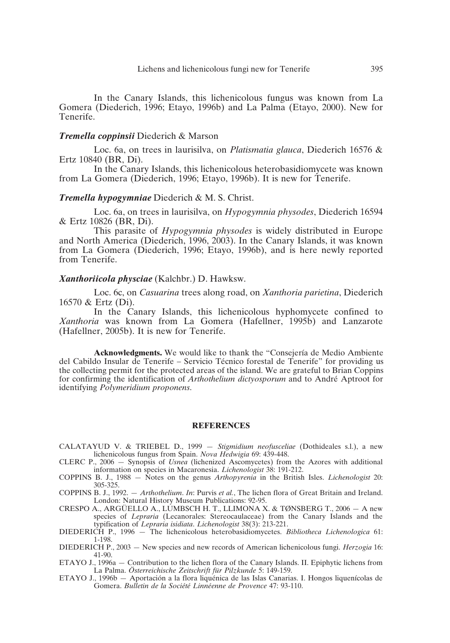In the Canary Islands, this lichenicolous fungus was known from La Gomera (Diederich, 1996; Etayo, 1996b) and La Palma (Etayo, 2000). New for Tenerife.

#### *Tremella coppinsii* Diederich & Marson

Loc. 6a, on trees in laurisilva, on *Platismatia glauca*, Diederich 16576 & Ertz 10840 (BR, Di).

In the Canary Islands, this lichenicolous heterobasidiomycete was known from La Gomera (Diederich, 1996; Etayo, 1996b). It is new for Tenerife.

#### *Tremella hypogymniae* Diederich & M. S. Christ.

Loc. 6a, on trees in laurisilva, on *Hypogymnia physodes*, Diederich 16594 & Ertz 10826 (BR, Di).

This parasite of *Hypogymnia physodes* is widely distributed in Europe and North America (Diederich, 1996, 2003). In the Canary Islands, it was known from La Gomera (Diederich, 1996; Etayo, 1996b), and is here newly reported from Tenerife.

#### *Xanthoriicola physciae* (Kalchbr.) D. Hawksw.

Loc. 6c, on *Casuarina* trees along road, on *Xanthoria parietina*, Diederich 16570 & Ertz (Di).

In the Canary Islands, this lichenicolous hyphomycete confined to Xanthoria was known from La Gomera (Hafellner, 1995b) and Lanzarote (Hafellner, 2005b). It is new for Tenerife.

**Acknowledgments.** We would like to thank the "Consejería de Medio Ambiente del Cabildo Insular de Tenerife – Servicio Técnico forestal de Tenerife" for providing us the collecting permit for the protected areas of the island. We are grateful to Brian Coppins for confirming the identification of *Arthothelium dictyosporum* and to André Aptroot for identifying *Polymeridium proponens*.

#### **REFERENCES**

- CALATAYUD V. & TRIEBEL D., 1999 *Stigmidium neofusceliae* (Dothideales s.l.), a new lichenicolous fungus from Spain. *Nova Hedwigia* 69: 439-448.
- CLERC P., 2006 Synopsis of *Usnea* (lichenized Ascomycetes) from the Azores with additional information on species in Macaronesia. *Lichenologist* 38: 191-212.
- COPPINS B. J., 1988 Notes on the genus *Arthopyrenia* in the British Isles. *Lichenologist* 20: 305-325.
- COPPINS B. J., 1992. *Arthothelium*. *In*: Purvis *et al.*, The lichen flora of Great Britain and Ireland. London: Natural History Museum Publications: 92-95.
- CRESPO A., ARGÜELLO A., LUMBSCH H. T., LLIMONA X. & TØNSBERG T., 2006 A new species of *Lepraria* (Lecanorales: Stereocaulaceae) from the Canary Islands and the typification of *Lepraria isidiata*. *Lichenologist* 38(3): 213-221.
- DIEDERICH P., 1996 The lichenicolous heterobasidiomycetes. *Bibliotheca Lichenologica* 61: 1-198.
- DIEDERICH P., 2003 New species and new records of American lichenicolous fungi. *Herzogia* 16: 41-90.
- ETAYO J., 1996a Contribution to the lichen flora of the Canary Islands. II. Epiphytic lichens from La Palma. *Österreichische Zeitschrift für Pilzkunde* 5: 149-159.
- ETAYO J., 1996b Aportación a la flora liquénica de las Islas Canarias. I. Hongos liquenícolas de Gomera. *Bulletin de la Société Linnéenne de Provence* 47: 93-110.